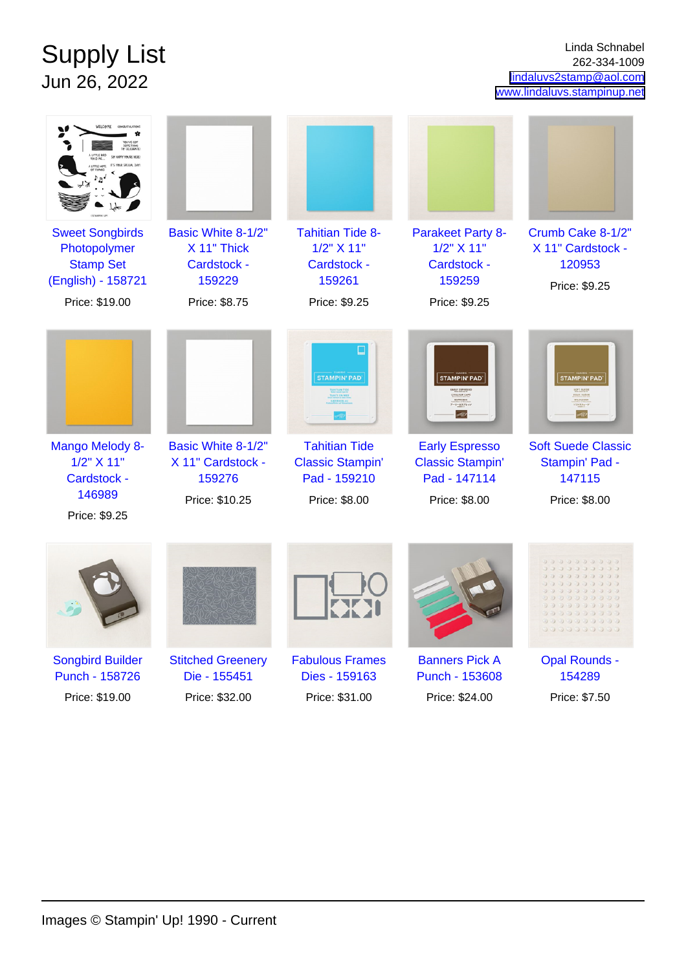## Supply List Jun 26, 2022

Linda Schnabel 262-334-1009 [lindaluvs2stamp@aol.com](mailto:lindaluvs2stamp@aol.com) [www.lindaluvs.stampinup.net](http://www.lindaluvs.stampinup.net)

| <b>Sweet Songbirds</b><br>Photopolymer<br><b>Stamp Set</b><br>(English) - 158721<br>Price: \$19.00 | Basic White 8-1/2"<br>X 11" Thick<br>Cardstock -<br>159229<br>Price: \$8.75 | <b>Tahitian Tide 8-</b><br>1/2" X 11"<br>Cardstock -<br>159261<br>Price: \$9.25                              | <b>Parakeet Party 8-</b><br>1/2" X 11"<br>Cardstock -<br>159259<br>Price: \$9.25                                                                                         | Crumb Cake 8-1/2"<br>X 11" Cardstock -<br>120953<br>Price: \$9.25                             |
|----------------------------------------------------------------------------------------------------|-----------------------------------------------------------------------------|--------------------------------------------------------------------------------------------------------------|--------------------------------------------------------------------------------------------------------------------------------------------------------------------------|-----------------------------------------------------------------------------------------------|
| Mango Melody 8-<br>1/2" X 11"<br>Cardstock -<br>146989<br>Price: \$9.25                            | Basic White 8-1/2"<br>X 11" Cardstock -<br>159276<br>Price: \$10.25         | ⊔<br><b>STAMPIN' PAD</b><br><b>Tahitian Tide</b><br><b>Classic Stampin'</b><br>Pad - 159210<br>Price: \$8.00 | <b>STAMPIN' PAD</b><br>COULEUR CAFE<br>$\frac{45744550}{7 - 9 - 23.74 - 93}$<br>>12<br><b>Early Espresso</b><br><b>Classic Stampin'</b><br>Pad - 147114<br>Price: \$8.00 | <b>STAMPIN' PAD</b><br><b>Soft Suede Classic</b><br>Stampin' Pad -<br>147115<br>Price: \$8.00 |
|                                                                                                    |                                                                             |                                                                                                              |                                                                                                                                                                          | 339999<br>0000000<br>00000000                                                                 |
| <b>Songbird Builder</b><br>Punch - 158726                                                          | <b>Stitched Greenery</b><br>Die - 155451                                    | <b>Fabulous Frames</b><br>Dies - 159163                                                                      | <b>Banners Pick A</b><br>Punch - 153608                                                                                                                                  | <b>Opal Rounds -</b><br>154289                                                                |
| Price: \$19.00                                                                                     | Price: \$32.00                                                              | Price: \$31.00                                                                                               | Price: \$24.00                                                                                                                                                           | Price: \$7.50                                                                                 |